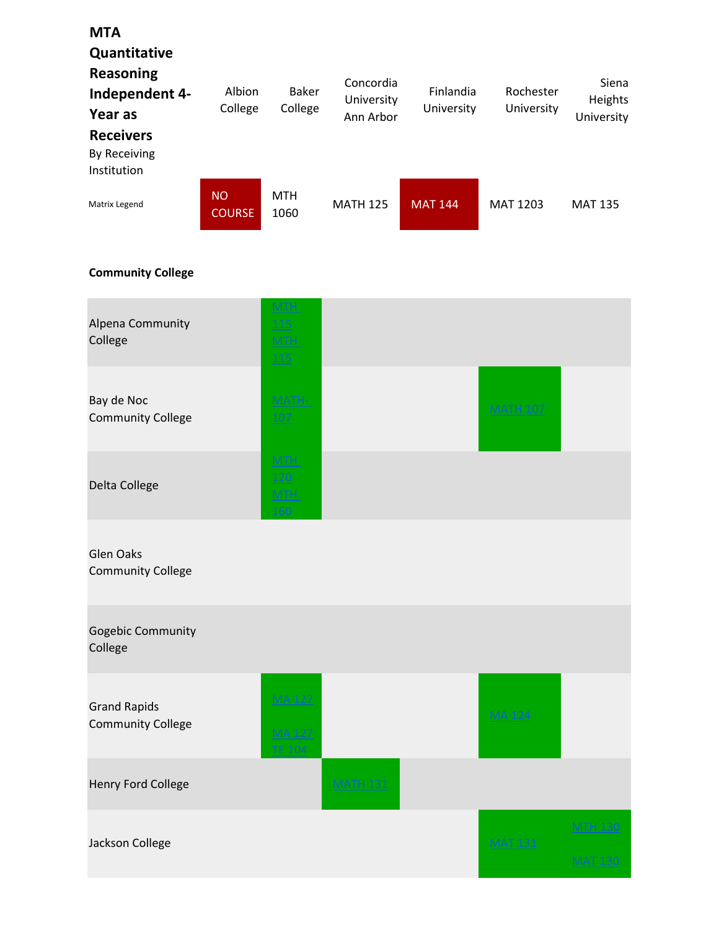## **MTA** Quantitative Reasoning Independent 4- Year as Receivers By Receiving Institution Matrix Legend NO COURSE MTH 1060 MATH 125 MAT 144 MAT 1203 MAT 135 Albion College Baker College Concordia University Ann Arbor Finlandia University Rochester University Siena Heights University

## Community College

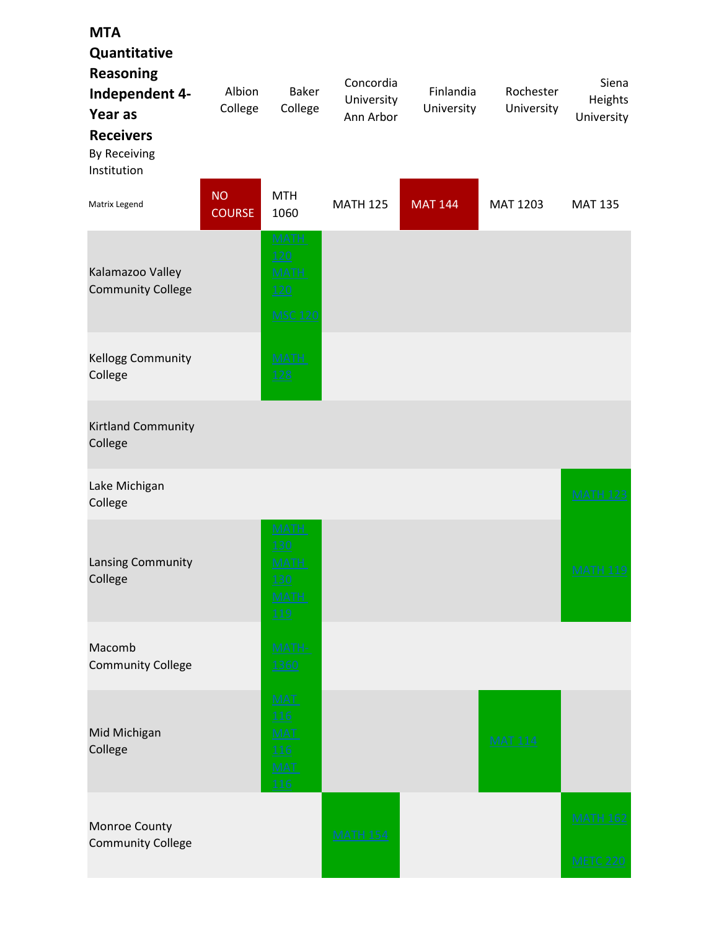| <b>MTA</b><br>Quantitative<br><b>Reasoning</b><br>Independent 4-<br>Year as<br><b>Receivers</b><br>By Receiving<br>Institution | Albion<br>College          | <b>Baker</b><br>College                                        | Concordia<br>University<br>Ann Arbor | Finlandia<br>University | Rochester<br>University | Siena<br>Heights<br>University     |
|--------------------------------------------------------------------------------------------------------------------------------|----------------------------|----------------------------------------------------------------|--------------------------------------|-------------------------|-------------------------|------------------------------------|
| Matrix Legend                                                                                                                  | <b>NO</b><br><b>COURSE</b> | <b>MTH</b><br>1060                                             | <b>MATH 125</b>                      | <b>MAT 144</b>          | MAT 1203                | <b>MAT 135</b>                     |
| Kalamazoo Valley<br><b>Community College</b>                                                                                   |                            | <b>MATH</b><br>120<br><b>MATH</b><br>120<br><b>MSC 120</b>     |                                      |                         |                         |                                    |
| Kellogg Community<br>College                                                                                                   |                            | <b>MATH</b><br><b>128</b>                                      |                                      |                         |                         |                                    |
| Kirtland Community<br>College                                                                                                  |                            |                                                                |                                      |                         |                         |                                    |
| Lake Michigan<br>College                                                                                                       |                            |                                                                |                                      |                         |                         | <b>MATH 123</b>                    |
| Lansing Community<br>College                                                                                                   |                            | MATH<br><u>130</u><br><b>MATH</b><br>130<br><b>MATH</b><br>119 |                                      |                         |                         | <b>MATH 119</b>                    |
| Macomb<br><b>Community College</b>                                                                                             |                            | MATH-<br>1360                                                  |                                      |                         |                         |                                    |
| Mid Michigan<br>College                                                                                                        |                            | MAT.<br><b>116</b><br><b>MAT</b><br>116<br><b>MAT</b><br>116   |                                      |                         | <b>MAT 114</b>          |                                    |
| Monroe County<br><b>Community College</b>                                                                                      |                            |                                                                | <b>MATH 154</b>                      |                         |                         | <b>MATH 162</b><br><b>METC 220</b> |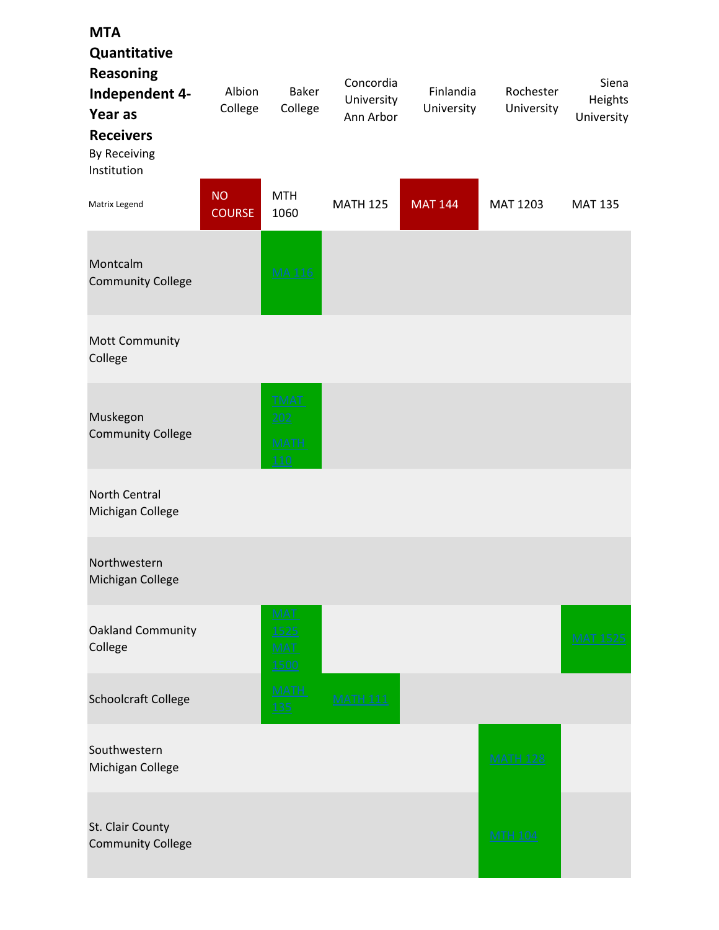| <b>MTA</b><br>Quantitative<br><b>Reasoning</b><br>Independent 4-<br>Year as<br><b>Receivers</b><br><b>By Receiving</b><br>Institution | Albion<br>College          | <b>Baker</b><br>College                   | Concordia<br>University<br>Ann Arbor | Finlandia<br>University | Rochester<br>University | Siena<br>Heights<br>University |
|---------------------------------------------------------------------------------------------------------------------------------------|----------------------------|-------------------------------------------|--------------------------------------|-------------------------|-------------------------|--------------------------------|
| Matrix Legend                                                                                                                         | <b>NO</b><br><b>COURSE</b> | <b>MTH</b><br>1060                        | <b>MATH 125</b>                      | <b>MAT 144</b>          | MAT 1203                | <b>MAT 135</b>                 |
| Montcalm<br><b>Community College</b>                                                                                                  |                            | <b>MA116</b>                              |                                      |                         |                         |                                |
| Mott Community<br>College                                                                                                             |                            |                                           |                                      |                         |                         |                                |
| Muskegon<br><b>Community College</b>                                                                                                  |                            | <b>TMAT</b><br>202<br><b>MATH</b><br>110  |                                      |                         |                         |                                |
| North Central<br>Michigan College                                                                                                     |                            |                                           |                                      |                         |                         |                                |
| Northwestern<br>Michigan College                                                                                                      |                            |                                           |                                      |                         |                         |                                |
| <b>Oakland Community</b><br>College                                                                                                   |                            | <b>MAT</b><br><u>1525</u><br>MAT.<br>1500 |                                      |                         |                         | <b>MAT 1525</b>                |
| Schoolcraft College                                                                                                                   |                            | <b>MATH</b><br>135                        | <b>MATH 111</b>                      |                         |                         |                                |
| Southwestern<br>Michigan College                                                                                                      |                            |                                           |                                      |                         | <b>MATH 128</b>         |                                |
| St. Clair County<br><b>Community College</b>                                                                                          |                            |                                           |                                      |                         | <b>MTH 104</b>          |                                |